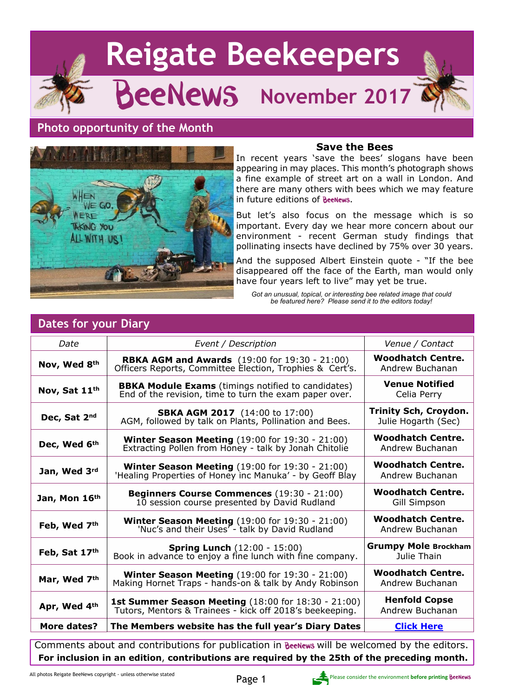



#### **Save the Bees**

In recent years 'save the bees' slogans have been appearing in may places. This month's photograph shows a fine example of street art on a wall in London. And there are many others with bees which we may feature in future editions of **BeeNews**.

But let's also focus on the message which is so important. Every day we hear more concern about our environment - recent German study findings that pollinating insects have declined by 75% over 30 years.

And the supposed Albert Einstein quote - "If the bee disappeared off the face of the Earth, man would only have four years left to live" may yet be true.

*Got an unusual, topical, or interesting bee related image that could be featured here? Please send it to the editors today!*

| Date                                                                                         | Event / Description                                                                                                    | Venue / Contact                                     |  |  |
|----------------------------------------------------------------------------------------------|------------------------------------------------------------------------------------------------------------------------|-----------------------------------------------------|--|--|
| Nov, Wed 8th                                                                                 | <b>RBKA AGM and Awards</b> (19:00 for 19:30 - 21:00)<br>Officers Reports, Committee Election, Trophies & Cert's.       | <b>Woodhatch Centre.</b><br>Andrew Buchanan         |  |  |
| Nov, Sat 11th                                                                                | <b>BBKA Module Exams</b> (timings notified to candidates)<br>End of the revision, time to turn the exam paper over.    | <b>Venue Notified</b><br>Celia Perry                |  |  |
| Dec, Sat 2nd                                                                                 | <b>SBKA AGM 2017</b> (14:00 to 17:00)<br>AGM, followed by talk on Plants, Pollination and Bees.                        | <b>Trinity Sch, Croydon.</b><br>Julie Hogarth (Sec) |  |  |
| Dec, Wed 6th                                                                                 | <b>Winter Season Meeting (19:00 for 19:30 - 21:00)</b><br>Extracting Pollen from Honey - talk by Jonah Chitolie        | <b>Woodhatch Centre.</b><br>Andrew Buchanan         |  |  |
| Jan, Wed 3rd                                                                                 | Winter Season Meeting (19:00 for 19:30 - 21:00)<br>'Healing Properties of Honey inc Manuka' - by Geoff Blay            | <b>Woodhatch Centre.</b><br>Andrew Buchanan         |  |  |
| Jan, Mon 16th                                                                                | Beginners Course Commences (19:30 - 21:00)<br>10 session course presented by David Rudland                             | <b>Woodhatch Centre.</b><br>Gill Simpson            |  |  |
| Feb, Wed 7th                                                                                 | <b>Winter Season Meeting (19:00 for 19:30 - 21:00)</b><br>'Nuc's and their Uses <sup>7</sup> - talk by David Rudland   | <b>Woodhatch Centre.</b><br>Andrew Buchanan         |  |  |
| Feb, Sat 17th                                                                                | <b>Spring Lunch (12:00 - 15:00)</b><br>Book in advance to enjoy a fine lunch with fine company.                        | <b>Grumpy Mole Brockham</b><br>Julie Thain          |  |  |
| Mar, Wed 7th                                                                                 | Winter Season Meeting (19:00 for 19:30 - 21:00)<br>Making Hornet Traps - hands-on & talk by Andy Robinson              | <b>Woodhatch Centre.</b><br>Andrew Buchanan         |  |  |
| Apr, Wed 4th                                                                                 | <b>1st Summer Season Meeting (18:00 for 18:30 - 21:00)</b><br>Tutors, Mentors & Trainees - kick off 2018's beekeeping. | <b>Henfold Copse</b><br>Andrew Buchanan             |  |  |
| More dates?                                                                                  | The Members website has the full year's Diary Dates                                                                    | <b>Click Here</b>                                   |  |  |
| Comments about and contributions for publication in BeeNews will be welcomed by the editors. |                                                                                                                        |                                                     |  |  |
| For inclusion in an edition, contributions are required by the 25th of the preceding month.  |                                                                                                                        |                                                     |  |  |

#### **Dates for your Diary**

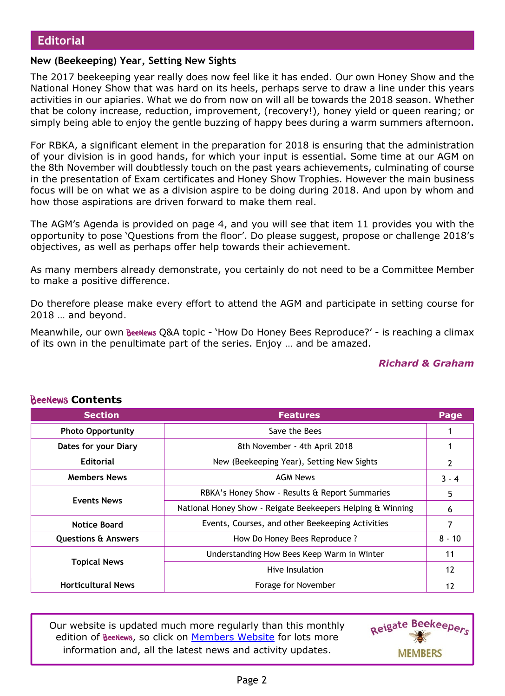#### **New (Beekeeping) Year, Setting New Sights**

The 2017 beekeeping year really does now feel like it has ended. Our own Honey Show and the National Honey Show that was hard on its heels, perhaps serve to draw a line under this years activities in our apiaries. What we do from now on will all be towards the 2018 season. Whether that be colony increase, reduction, improvement, (recovery!), honey yield or queen rearing; or simply being able to enjoy the gentle buzzing of happy bees during a warm summers afternoon.

For RBKA, a significant element in the preparation for 2018 is ensuring that the administration of your division is in good hands, for which your input is essential. Some time at our AGM on the 8th November will doubtlessly touch on the past years achievements, culminating of course in the presentation of Exam certificates and Honey Show Trophies. However the main business focus will be on what we as a division aspire to be doing during 2018. And upon by whom and how those aspirations are driven forward to make them real.

The AGM's Agenda is provided on page 4, and you will see that item 11 provides you with the opportunity to pose 'Questions from the floor'. Do please suggest, propose or challenge 2018's objectives, as well as perhaps offer help towards their achievement.

As many members already demonstrate, you certainly do not need to be a Committee Member to make a positive difference.

Do therefore please make every effort to attend the AGM and participate in setting course for 2018 … and beyond.

Meanwhile, our own **BeeNews Q&A topic - 'How Do Honey Bees Reproduce?'** - is reaching a climax of its own in the penultimate part of the series. Enjoy … and be amazed.

#### *Richard & Graham*

| 0000000 CONGRES                |                                                            |          |  |  |  |
|--------------------------------|------------------------------------------------------------|----------|--|--|--|
| <b>Section</b>                 | <b>Features</b>                                            | Page     |  |  |  |
| <b>Photo Opportunity</b>       | Save the Bees                                              |          |  |  |  |
| Dates for your Diary           | 8th November - 4th April 2018                              |          |  |  |  |
| <b>Editorial</b>               | New (Beekeeping Year), Setting New Sights                  | 2        |  |  |  |
| <b>Members News</b>            | <b>AGM News</b>                                            | $3 - 4$  |  |  |  |
|                                | RBKA's Honey Show - Results & Report Summaries             | 5        |  |  |  |
| <b>Events News</b>             | National Honey Show - Reigate Beekeepers Helping & Winning | 6        |  |  |  |
| <b>Notice Board</b>            | Events, Courses, and other Beekeeping Activities           | 7        |  |  |  |
| <b>Questions &amp; Answers</b> | How Do Honey Bees Reproduce ?                              | $8 - 10$ |  |  |  |
|                                | Understanding How Bees Keep Warm in Winter                 | 11       |  |  |  |
| <b>Topical News</b>            | Hive Insulation                                            | 12       |  |  |  |
| <b>Horticultural News</b>      | Forage for November                                        | 12       |  |  |  |

#### **ReeNews Contents**

Our website is updated much more regularly than this monthly edition of BeeNews, so click on [Members Website](http://rbkbblog.com) for lots more information and, all the latest news and activity updates.

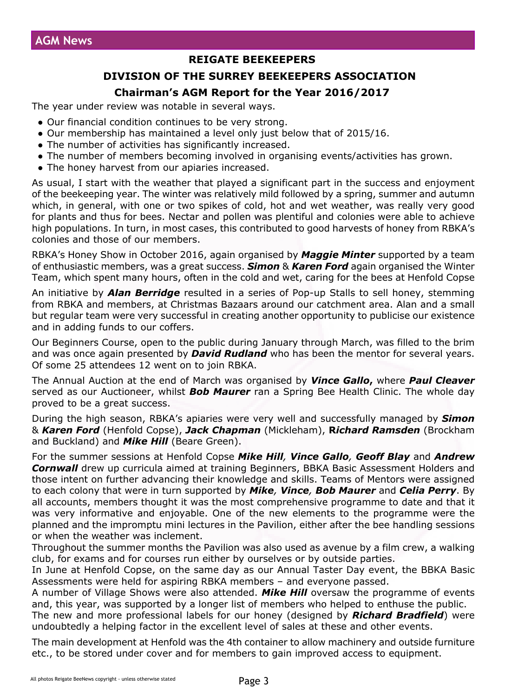#### **REIGATE BEEKEEPERS**

#### **DIVISION OF THE SURREY BEEKEEPERS ASSOCIATION**

#### **Chairman's AGM Report for the Year 2016/2017**

The year under review was notable in several ways.

- Our financial condition continues to be very strong.
- Our membership has maintained a level only just below that of 2015/16.
- The number of activities has significantly increased.
- The number of members becoming involved in organising events/activities has grown.
- The honey harvest from our apiaries increased.

As usual, I start with the weather that played a significant part in the success and enjoyment of the beekeeping year. The winter was relatively mild followed by a spring, summer and autumn which, in general, with one or two spikes of cold, hot and wet weather, was really very good for plants and thus for bees. Nectar and pollen was plentiful and colonies were able to achieve high populations. In turn, in most cases, this contributed to good harvests of honey from RBKA's colonies and those of our members.

RBKA's Honey Show in October 2016, again organised by *Maggie Minter* supported by a team of enthusiastic members, was a great success. *Simon* & *Karen Ford* again organised the Winter Team, which spent many hours, often in the cold and wet, caring for the bees at Henfold Copse

An initiative by *Alan Berridge* resulted in a series of Pop-up Stalls to sell honey, stemming from RBKA and members, at Christmas Bazaars around our catchment area. Alan and a small but regular team were very successful in creating another opportunity to publicise our existence and in adding funds to our coffers.

Our Beginners Course, open to the public during January through March, was filled to the brim and was once again presented by *David Rudland* who has been the mentor for several years. Of some 25 attendees 12 went on to join RBKA.

The Annual Auction at the end of March was organised by *Vince Gallo***,** where *Paul Cleaver* served as our Auctioneer, whilst *Bob Maurer* ran a Spring Bee Health Clinic. The whole day proved to be a great success.

During the high season, RBKA's apiaries were very well and successfully managed by *Simon* & *Karen Ford* (Henfold Copse), *Jack Chapman* (Mickleham), **R***ichard Ramsden* (Brockham and Buckland) and *Mike Hill* (Beare Green).

For the summer sessions at Henfold Copse *Mike Hill, Vince Gallo, Geoff Blay* and *Andrew Cornwall* drew up curricula aimed at training Beginners, BBKA Basic Assessment Holders and those intent on further advancing their knowledge and skills. Teams of Mentors were assigned to each colony that were in turn supported by *Mike, Vince, Bob Maurer* and *Celia Perry*. By all accounts, members thought it was the most comprehensive programme to date and that it was very informative and enjoyable. One of the new elements to the programme were the planned and the impromptu mini lectures in the Pavilion, either after the bee handling sessions or when the weather was inclement.

Throughout the summer months the Pavilion was also used as avenue by a film crew, a walking club, for exams and for courses run either by ourselves or by outside parties.

In June at Henfold Copse, on the same day as our Annual Taster Day event, the BBKA Basic Assessments were held for aspiring RBKA members – and everyone passed.

A number of Village Shows were also attended. *Mike Hill* oversaw the programme of events and, this year, was supported by a longer list of members who helped to enthuse the public.

The new and more professional labels for our honey (designed by *Richard Bradfield*) were undoubtedly a helping factor in the excellent level of sales at these and other events.

The main development at Henfold was the 4th container to allow machinery and outside furniture etc., to be stored under cover and for members to gain improved access to equipment.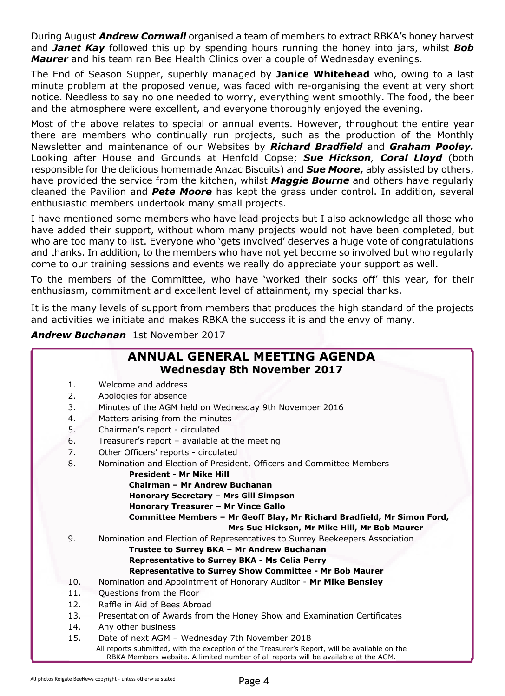During August *Andrew Cornwall* organised a team of members to extract RBKA's honey harvest and *Janet Kay* followed this up by spending hours running the honey into jars, whilst *Bob Maurer* and his team ran Bee Health Clinics over a couple of Wednesday evenings.

The End of Season Supper, superbly managed by **Janice Whitehead** who, owing to a last minute problem at the proposed venue, was faced with re-organising the event at very short notice. Needless to say no one needed to worry, everything went smoothly. The food, the beer and the atmosphere were excellent, and everyone thoroughly enjoyed the evening.

Most of the above relates to special or annual events. However, throughout the entire year there are members who continually run projects, such as the production of the Monthly Newsletter and maintenance of our Websites by *Richard Bradfield* and *Graham Pooley.* Looking after House and Grounds at Henfold Copse; *Sue Hickson, Coral Lloyd* (both responsible for the delicious homemade Anzac Biscuits) and *Sue Moore***,** ably assisted by others, have provided the service from the kitchen, whilst *Maggie Bourne* and others have regularly cleaned the Pavilion and *Pete Moore* has kept the grass under control. In addition, several enthusiastic members undertook many small projects.

I have mentioned some members who have lead projects but I also acknowledge all those who have added their support, without whom many projects would not have been completed, but who are too many to list. Everyone who 'gets involved' deserves a huge vote of congratulations and thanks. In addition, to the members who have not yet become so involved but who regularly come to our training sessions and events we really do appreciate your support as well.

To the members of the Committee, who have 'worked their socks off' this year, for their enthusiasm, commitment and excellent level of attainment, my special thanks.

It is the many levels of support from members that produces the high standard of the projects and activities we initiate and makes RBKA the success it is and the envy of many.

*Andrew Buchanan* 1st November 2017

|     | <b>ANNUAL GENERAL MEETING AGENDA</b><br><b>Wednesday 8th November 2017</b>                                                                                                           |
|-----|--------------------------------------------------------------------------------------------------------------------------------------------------------------------------------------|
| 1.  | Welcome and address                                                                                                                                                                  |
| 2.  | Apologies for absence                                                                                                                                                                |
| 3.  | Minutes of the AGM held on Wednesday 9th November 2016                                                                                                                               |
| 4.  | Matters arising from the minutes                                                                                                                                                     |
| 5.  | Chairman's report - circulated                                                                                                                                                       |
| 6.  | Treasurer's report - available at the meeting                                                                                                                                        |
| 7.  | Other Officers' reports - circulated                                                                                                                                                 |
| 8.  | Nomination and Election of President, Officers and Committee Members                                                                                                                 |
|     | <b>President - Mr Mike Hill</b>                                                                                                                                                      |
|     | Chairman - Mr Andrew Buchanan                                                                                                                                                        |
|     | Honorary Secretary - Mrs Gill Simpson                                                                                                                                                |
|     | Honorary Treasurer - Mr Vince Gallo                                                                                                                                                  |
|     | Committee Members - Mr Geoff Blay, Mr Richard Bradfield, Mr Simon Ford,                                                                                                              |
|     | Mrs Sue Hickson, Mr Mike Hill, Mr Bob Maurer                                                                                                                                         |
| 9.  | Nomination and Election of Representatives to Surrey Beekeepers Association                                                                                                          |
|     | Trustee to Surrey BKA - Mr Andrew Buchanan                                                                                                                                           |
|     | <b>Representative to Surrey BKA - Ms Celia Perry</b>                                                                                                                                 |
| 10. | Representative to Surrey Show Committee - Mr Bob Maurer                                                                                                                              |
| 11. | Nomination and Appointment of Honorary Auditor - Mr Mike Bensley                                                                                                                     |
|     | Questions from the Floor                                                                                                                                                             |
| 12. | Raffle in Aid of Bees Abroad                                                                                                                                                         |
| 13. | Presentation of Awards from the Honey Show and Examination Certificates                                                                                                              |
| 14. | Any other business                                                                                                                                                                   |
| 15. | Date of next AGM - Wednesday 7th November 2018                                                                                                                                       |
|     | All reports submitted, with the exception of the Treasurer's Report, will be available on the<br>RBKA Members website. A limited number of all reports will be available at the AGM. |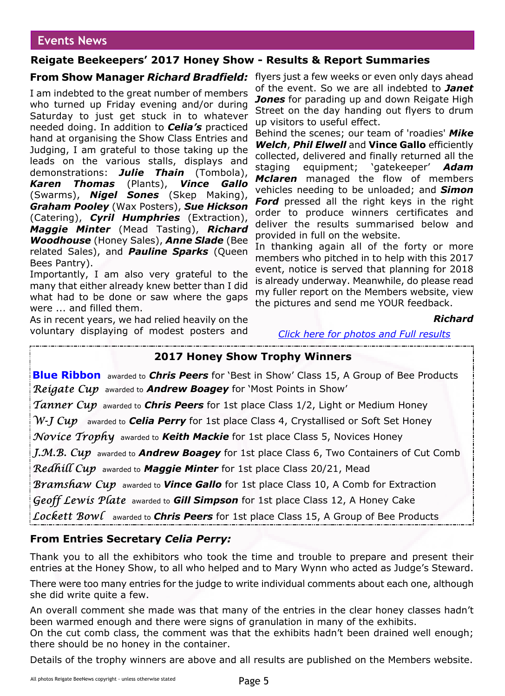#### **Events News**

#### **Reigate Beekeepers' 2017 Honey Show - Results & Report Summaries**

I am indebted to the great number of members who turned up Friday evening and/or during Saturday to just get stuck in to whatever needed doing. In addition to *Celia's* practiced hand at organising the Show Class Entries and Judging, I am grateful to those taking up the leads on the various stalls, displays and demonstrations: *Julie Thain* (Tombola), *Karen Thomas* (Plants), *Vince Gallo* (Swarms), *Nigel Sones* (Skep Making), *Graham Pooley* (Wax Posters), *Sue Hickson* (Catering), *Cyril Humphries* (Extraction), *Maggie Minter* (Mead Tasting), *Richard Woodhouse* (Honey Sales), *Anne Slade* (Bee related Sales), and *Pauline Sparks* (Queen Bees Pantry).

Importantly, I am also very grateful to the many that either already knew better than I did what had to be done or saw where the gaps were ... and filled them.

As in recent years, we had relied heavily on the voluntary displaying of modest posters and

**From Show Manager** *Richard Bradfield:* flyers just a few weeks or even only days ahead of the event. So we are all indebted to *Janet Jones* for parading up and down Reigate High Street on the day handing out flyers to drum up visitors to useful effect.

> Behind the scenes; our team of 'roadies' *Mike Welch*, *Phil Elwell* and **Vince Gallo** efficiently collected, delivered and finally returned all the staging equipment; 'gatekeeper' *Adam Mclaren* managed the flow of members vehicles needing to be unloaded; and *Simon Ford* pressed all the right keys in the right order to produce winners certificates and deliver the results summarised below and provided in full on the website.

> In thanking again all of the forty or more members who pitched in to help with this 2017 event, notice is served that planning for 2018 is already underway. Meanwhile, do please read my fuller report on the Members website, view the pictures and send me YOUR feedback.

#### *Richard*

#### *[Click here for photos and Full results](https://wp.me/p2VGpI-6uI)*

#### **2017 Honey Show Trophy Winners**

**Blue Ribbon** awarded to *Chris Peers* for 'Best in Show' Class 15, A Group of Bee Products Reigate Cup awarded to **Andrew Boagey** for 'Most Points in Show'

*Tanner Cup* awarded to *Chris Peers* for 1st place Class 1/2, Light or Medium Honey

 $W$ -J Cup awarded to **Celia Perry** for 1st place Class 4, Crystallised or Soft Set Honey

Novice Trophy awarded to **Keith Mackie** for 1st place Class 5, Novices Honey

J.M.B. Cup awarded to **Andrew Boagey** for 1st place Class 6, Two Containers of Cut Comb

**Redhill Cup** awarded to **Maggie Minter** for 1st place Class 20/21, Mead

Bramshaw Cup awarded to **Vince Gallo** for 1st place Class 10, A Comb for Extraction

Geoff Lewis Plate awarded to **Gill Simpson** for 1st place Class 12, A Honey Cake

Lockett Bowl awarded to **Chris Peers** for 1st place Class 15, A Group of Bee Products

#### **From Entries Secretary** *Celia Perry:*

Thank you to all the exhibitors who took the time and trouble to prepare and present their entries at the Honey Show, to all who helped and to Mary Wynn who acted as Judge's Steward.

There were too many entries for the judge to write individual comments about each one, although she did write quite a few.

An overall comment she made was that many of the entries in the clear honey classes hadn't been warmed enough and there were signs of granulation in many of the exhibits. On the cut comb class, the comment was that the exhibits hadn't been drained well enough;

there should be no honey in the container.

Details of the trophy winners are above and all results are published on the Members website.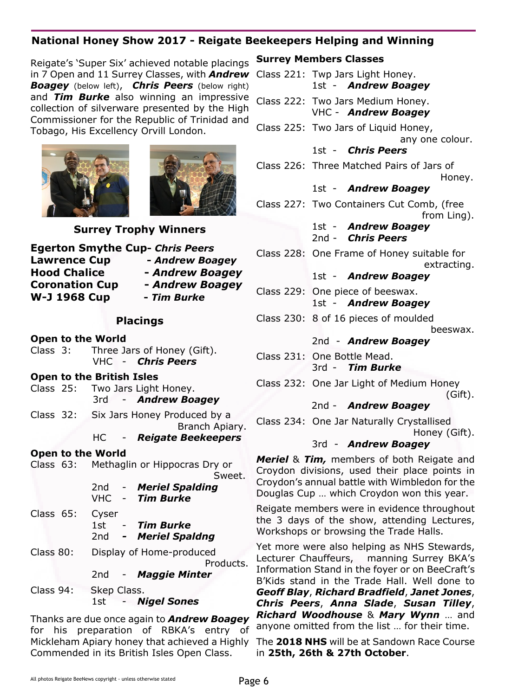#### **National Honey Show 2017 - Reigate Beekeepers Helping and Winning**

Reigate's 'Super Six' achieved notable placings in 7 Open and 11 Surrey Classes, with *Andrew Boagey* (below left), *Chris Peers* (below right) and *Tim Burke* also winning an impressive collection of silverware presented by the High Commissioner for the Republic of Trinidad and Tobago, His Excellency Orvill London.





#### **Surrey Trophy Winners**

| <b>Egerton Smythe Cup- Chris Peers</b> |                 |
|----------------------------------------|-----------------|
| <b>Lawrence Cup</b>                    | - Andrew Boagey |
| <b>Hood Chalice</b>                    | - Andrew Boagey |
| <b>Coronation Cup</b>                  | - Andrew Boagey |
| <b>W-J 1968 Cup</b>                    | - Tim Burke     |

#### **Placings**

- **Open to the World**
- Class 3: Three Jars of Honey (Gift). VHC - *Chris Peers*

#### **Open to the British Isles**

- Class 25: Two Jars Light Honey. 3rd - *Andrew Boagey*
- Class 32: Six Jars Honey Produced by a Branch Apiary.

#### HC - *Reigate Beekeepers*

**Open to the World** Class 63: Methaglin or Hippocras Dry or Sweet.

> 2nd - *Meriel Spalding* VHC - *Tim Burke*

- Class 65: Cyser 1st - *Tim Burke* 2nd *- Meriel Spaldng*
- Class 80: Display of Home-produced Products. 2nd - *Maggie Minter*

Class 94: Skep Class. 1st - *Nigel Sones*

Thanks are due once again to *Andrew Boagey* for his preparation of RBKA's entry of Mickleham Apiary honey that achieved a Highly Commended in its British Isles Open Class.

#### **Surrey Members Classes**

| Class 221: Twp Jars Light Honey.<br>1st - Andrew Boagey                                                                                                                                                                                                                                            |
|----------------------------------------------------------------------------------------------------------------------------------------------------------------------------------------------------------------------------------------------------------------------------------------------------|
| Class 222: Two Jars Medium Honey.<br>VHC - Andrew Boagey                                                                                                                                                                                                                                           |
| Class 225: Two Jars of Liquid Honey,<br>any one colour.                                                                                                                                                                                                                                            |
| 1st - Chris Peers                                                                                                                                                                                                                                                                                  |
| Class 226: Three Matched Pairs of Jars of<br>Honey.                                                                                                                                                                                                                                                |
| 1st - Andrew Boagey                                                                                                                                                                                                                                                                                |
| Class 227: Two Containers Cut Comb, (free<br>from Ling).                                                                                                                                                                                                                                           |
| 1st - <b>Andrew Boagey</b><br>2nd - Chris Peers                                                                                                                                                                                                                                                    |
| Class 228: One Frame of Honey suitable for<br>extracting.                                                                                                                                                                                                                                          |
| 1st - Andrew Boagey                                                                                                                                                                                                                                                                                |
| Class 229: One piece of beeswax.<br>1st - Andrew Boagey                                                                                                                                                                                                                                            |
| Class 230: 8 of 16 pieces of moulded<br>beeswax.                                                                                                                                                                                                                                                   |
| 2nd - Andrew Boagey                                                                                                                                                                                                                                                                                |
| Class 231: One Bottle Mead.                                                                                                                                                                                                                                                                        |
| 3rd - Tim Burke                                                                                                                                                                                                                                                                                    |
| Class 232: One Jar Light of Medium Honey<br>(Gift).                                                                                                                                                                                                                                                |
| 2nd - <b>Andrew Boagey</b>                                                                                                                                                                                                                                                                         |
| Class 234: One Jar Naturally Crystallised<br>Honey (Gift).                                                                                                                                                                                                                                         |
| 3rd - Andrew Boagey                                                                                                                                                                                                                                                                                |
| <b>Meriel &amp; Tim, members of both Reigate and</b><br>Croydon divisions, used their place points in<br>Croydon's annual battle with Wimbledon for the<br>Douglas Cup  which Croydon won this year.<br>Reigate members were in evidence throughout<br>the 3 days of the show, attending Lectures, |
| Workshops or browsing the Trade Halls.                                                                                                                                                                                                                                                             |
| Yet more were also helping as NHS Stewards,<br>Lecturer Chauffeurs. manning Surrey BKA's                                                                                                                                                                                                           |

Lecturer Chauffeurs, manning Surrey BKA's Information Stand in the foyer or on BeeCraft's B'Kids stand in the Trade Hall. Well done to *Geoff Blay*, *Richard Bradfield*, *Janet Jones*, *Chris Peers*, *Anna Slade*, *Susan Tilley*, *Richard Woodhouse* & *Mary Wynn* … and anyone omitted from the list … for their time.

The **2018 NHS** will be at Sandown Race Course in **25th, 26th & 27th October**.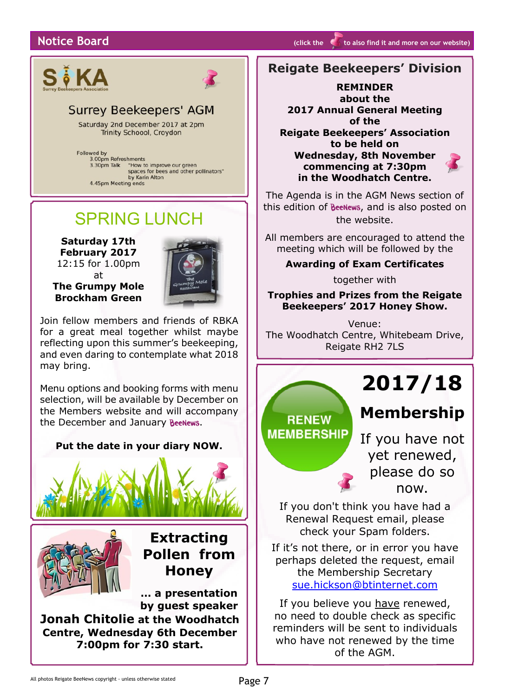#### **Notice Board (a) (b) (b) (click the <b>of** [to](http://rbkbblog.com/category/notice-board/) also find it and more on our website)



## **Surrey Beekeepers' AGM**

Saturday 2nd December 2017 at 2pm Trinity Schoool, Croydon

Followed by wed by<br>3.00pm Refreshments "How to improve our green 3.30pm Talk "How to improve our green<br>spaces for bees and other pollinators"<br>by Karin Alton<br>4.45pm Meeting ends 3.30pm Talk

# SPRING LUNCH

**Saturday 17th February 2017** 12:15 for 1.00pm at

**The Grumpy Mole Brockham Green**

Join fellow members and friends of RBKA for a great meal together whilst maybe reflecting upon this summer's beekeeping, and even daring to contemplate what 2018 may bring.

Menu options and booking forms with menu selection, will be available by December on the Members website and will accompany the December and January BeeNews.



#### **Reigate Beekeepers' Division**

**REMINDER about the 2017 Annual General Meeting of the Reigate Beekeepers' Association to be held on Wednesday, 8th November commencing at 7:30pm in the Woodhatch Centre.**

The Agenda is in the AGM News section of this edition of **BeeNews**, and is also posted on the website.

All members are encouraged to attend the meeting which will be followed by the

#### **Awarding of Exam Certificates**

together with

**Trophies and Prizes from the Reigate Beekeepers' 2017 Honey Show.**

Venue: The Woodhatch Centre, Whitebeam Drive, Reigate RH2 7LS

**RENEW MEMBERSHIP** 

# **2017/18**

# **Membership**

If you have not yet renewed, please do so now.

If you don't think you have had a Renewal Request email, please check your Spam folders.

If it's not there, or in error you have perhaps deleted the request, email the Membership Secretary [sue.hickson@btinternet.com](mailto:sue.hickson@btinternet.com)

If you believe you have renewed, no need to double check as specific reminders will be sent to individuals who have not renewed by the time of the AGM.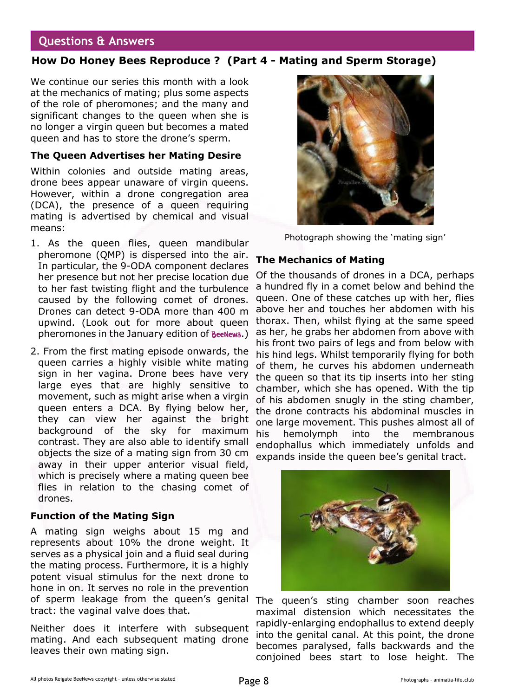#### **Questions & Answers**

#### **How Do Honey Bees Reproduce ? (Part 4 - Mating and Sperm Storage)**

We continue our series this month with a look at the mechanics of mating; plus some aspects of the role of pheromones; and the many and significant changes to the queen when she is no longer a virgin queen but becomes a mated queen and has to store the drone's sperm.

#### **The Queen Advertises her Mating Desire**

Within colonies and outside mating areas, drone bees appear unaware of virgin queens. However, within a drone congregation area (DCA), the presence of a queen requiring mating is advertised by chemical and visual means:

- 1. As the queen flies, queen mandibular pheromone (QMP) is dispersed into the air. In particular, the 9-ODA component declares her presence but not her precise location due to her fast twisting flight and the turbulence caused by the following comet of drones. Drones can detect 9-ODA more than 400 m upwind. (Look out for more about queen pheromones in the January edition of **BeeNews**.)
- 2. From the first mating episode onwards, the queen carries a highly visible white mating sign in her vagina. Drone bees have very large eyes that are highly sensitive to movement, such as might arise when a virgin queen enters a DCA. By flying below her, they can view her against the bright background of the sky for maximum contrast. They are also able to identify small objects the size of a mating sign from 30 cm away in their upper anterior visual field, which is precisely where a mating queen bee flies in relation to the chasing comet of drones.

#### **Function of the Mating Sign**

A mating sign weighs about 15 mg and represents about 10% the drone weight. It serves as a physical join and a fluid seal during the mating process. Furthermore, it is a highly potent visual stimulus for the next drone to hone in on. It serves no role in the prevention of sperm leakage from the queen's genital The queen's sting chamber soon reaches tract: the vaginal valve does that.

Neither does it interfere with subsequent mating. And each subsequent mating drone leaves their own mating sign.



Photograph showing the 'mating sign'

#### **The Mechanics of Mating**

Of the thousands of drones in a DCA, perhaps a hundred fly in a comet below and behind the queen. One of these catches up with her, flies above her and touches her abdomen with his thorax. Then, whilst flying at the same speed as her, he grabs her abdomen from above with his front two pairs of legs and from below with his hind legs. Whilst temporarily flying for both of them, he curves his abdomen underneath the queen so that its tip inserts into her sting chamber, which she has opened. With the tip of his abdomen snugly in the sting chamber, the drone contracts his abdominal muscles in one large movement. This pushes almost all of his hemolymph into the membranous endophallus which immediately unfolds and expands inside the queen bee's genital tract.



maximal distension which necessitates the rapidly-enlarging endophallus to extend deeply into the genital canal. At this point, the drone becomes paralysed, falls backwards and the conjoined bees start to lose height. The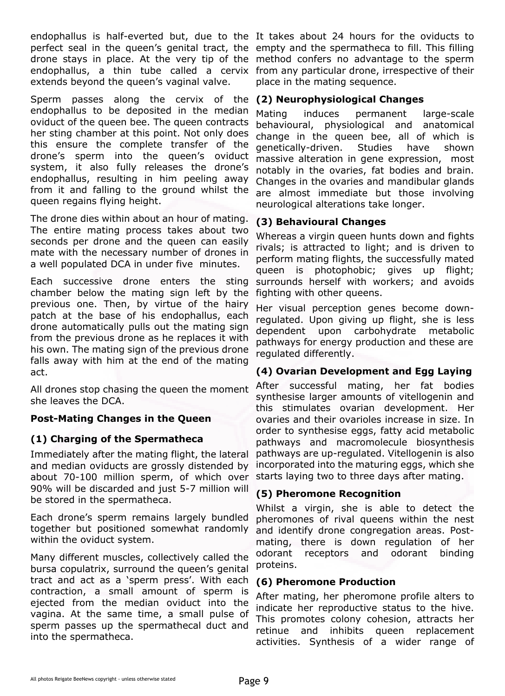endophallus is half-everted but, due to the It takes about 24 hours for the oviducts to perfect seal in the queen's genital tract, the empty and the spermatheca to fill. This filling drone stays in place. At the very tip of the method confers no advantage to the sperm endophallus, a thin tube called a cervix from any particular drone, irrespective of their extends beyond the queen's vaginal valve.

Sperm passes along the cervix of the endophallus to be deposited in the median oviduct of the queen bee. The queen contracts her sting chamber at this point. Not only does this ensure the complete transfer of the drone's sperm into the queen's oviduct system, it also fully releases the drone's endophallus, resulting in him peeling away from it and falling to the ground whilst the queen regains flying height.

The drone dies within about an hour of mating. The entire mating process takes about two seconds per drone and the queen can easily mate with the necessary number of drones in a well populated DCA in under five minutes.

Each successive drone enters the sting chamber below the mating sign left by the previous one. Then, by virtue of the hairy patch at the base of his endophallus, each drone automatically pulls out the mating sign from the previous drone as he replaces it with his own. The mating sign of the previous drone falls away with him at the end of the mating act.

All drones stop chasing the queen the moment she leaves the DCA.

#### **Post-Mating Changes in the Queen**

#### **(1) Charging of the Spermatheca**

Immediately after the mating flight, the lateral and median oviducts are grossly distended by about 70-100 million sperm, of which over 90% will be discarded and just 5-7 million will be stored in the spermatheca.

Each drone's sperm remains largely bundled together but positioned somewhat randomly within the oviduct system.

Many different muscles, collectively called the bursa copulatrix, surround the queen's genital tract and act as a 'sperm press'. With each contraction, a small amount of sperm is ejected from the median oviduct into the vagina. At the same time, a small pulse of sperm passes up the spermathecal duct and into the spermatheca.

place in the mating sequence.

#### **(2) Neurophysiological Changes**

Mating induces permanent large-scale behavioural, physiological and anatomical change in the queen bee, all of which is genetically-driven. Studies have shown massive alteration in gene expression, most notably in the ovaries, fat bodies and brain. Changes in the ovaries and mandibular glands are almost immediate but those involving neurological alterations take longer.

#### **(3) Behavioural Changes**

Whereas a virgin queen hunts down and fights rivals; is attracted to light; and is driven to perform mating flights, the successfully mated queen is photophobic; gives up flight; surrounds herself with workers; and avoids fighting with other queens.

Her visual perception genes become downregulated. Upon giving up flight, she is less dependent upon carbohydrate metabolic pathways for energy production and these are regulated differently.

#### **(4) Ovarian Development and Egg Laying**

After successful mating, her fat bodies synthesise larger amounts of vitellogenin and this stimulates ovarian development. Her ovaries and their ovarioles increase in size. In order to synthesise eggs, fatty acid metabolic pathways and macromolecule biosynthesis pathways are up-regulated. Vitellogenin is also incorporated into the maturing eggs, which she starts laying two to three days after mating.

#### **(5) Pheromone Recognition**

Whilst a virgin, she is able to detect the pheromones of rival queens within the nest and identify drone congregation areas. Postmating, there is down regulation of her odorant receptors and odorant binding proteins.

#### **(6) Pheromone Production**

After mating, her pheromone profile alters to indicate her reproductive status to the hive. This promotes colony cohesion, attracts her retinue and inhibits queen replacement activities. Synthesis of a wider range of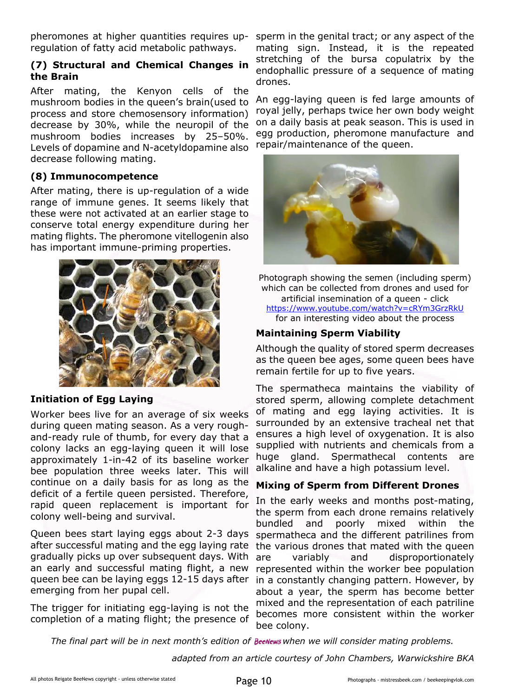pheromones at higher quantities requires upregulation of fatty acid metabolic pathways.

#### **(7) Structural and Chemical Changes in the Brain**

After mating, the Kenyon cells of the mushroom bodies in the queen's brain(used to process and store chemosensory information) decrease by 30%, while the neuropil of the mushroom bodies increases by 25–50%. Levels of dopamine and N-acetyldopamine also decrease following mating.

#### **(8) Immunocompetence**

After mating, there is up-regulation of a wide range of immune genes. It seems likely that these were not activated at an earlier stage to conserve total energy expenditure during her mating flights. The pheromone vitellogenin also has important immune-priming properties.



#### **Initiation of Egg Laying**

Worker bees live for an average of six weeks during queen mating season. As a very roughand-ready rule of thumb, for every day that a colony lacks an egg-laying queen it will lose approximately 1-in-42 of its baseline worker bee population three weeks later. This will continue on a daily basis for as long as the deficit of a fertile queen persisted. Therefore, rapid queen replacement is important for colony well-being and survival.

Queen bees start laying eggs about 2-3 days after successful mating and the egg laying rate gradually picks up over subsequent days. With an early and successful mating flight, a new queen bee can be laying eggs 12-15 days after emerging from her pupal cell.

The trigger for initiating egg-laying is not the completion of a mating flight; the presence of

sperm in the genital tract; or any aspect of the mating sign. Instead, it is the repeated stretching of the bursa copulatrix by the endophallic pressure of a sequence of mating drones.

An egg-laying queen is fed large amounts of royal jelly, perhaps twice her own body weight on a daily basis at peak season. This is used in egg production, pheromone manufacture and repair/maintenance of the queen.



Photograph showing the semen (including sperm) which can be collected from drones and used for artificial insemination of a queen - click [https://www.youtube.com/watch?v=cRYm3GrzRkU](https://www.youtube.com/watch?v=cRYm3GrzRkU ) for an interesting video about the process

#### **Maintaining Sperm Viability**

Although the quality of stored sperm decreases as the queen bee ages, some queen bees have remain fertile for up to five years.

The spermatheca maintains the viability of stored sperm, allowing complete detachment of mating and egg laying activities. It is surrounded by an extensive tracheal net that ensures a high level of oxygenation. It is also supplied with nutrients and chemicals from a huge gland. Spermathecal contents are alkaline and have a high potassium level.

#### **Mixing of Sperm from Different Drones**

In the early weeks and months post-mating, the sperm from each drone remains relatively bundled and poorly mixed within the spermatheca and the different patrilines from the various drones that mated with the queen are variably and disproportionately represented within the worker bee population in a constantly changing pattern. However, by about a year, the sperm has become better mixed and the representation of each patriline becomes more consistent within the worker bee colony.

*The final part will be in next month's edition of BeeNews when we will consider mating problems.* 

*adapted from an article courtesy of John Chambers, Warwickshire BKA*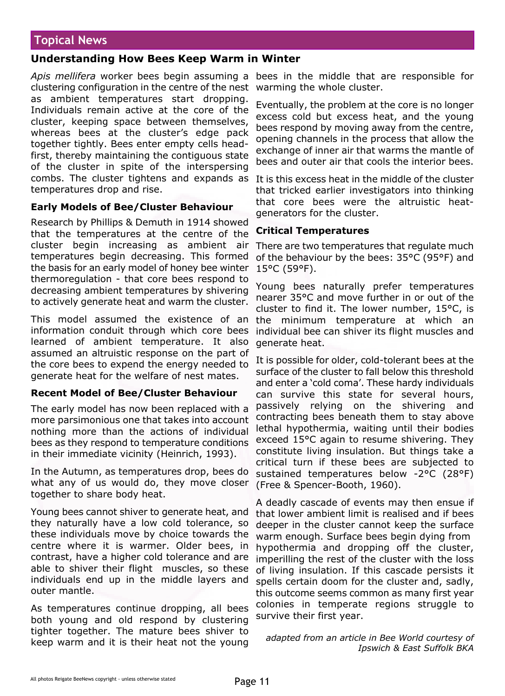#### **Topical News**

#### **Understanding How Bees Keep Warm in Winter**

*Apis mellifera* worker bees begin assuming a bees in the middle that are responsible for clustering configuration in the centre of the nest warming the whole cluster. as ambient temperatures start dropping. Individuals remain active at the core of the cluster, keeping space between themselves, whereas bees at the cluster's edge pack together tightly. Bees enter empty cells headfirst, thereby maintaining the contiguous state of the cluster in spite of the interspersing combs. The cluster tightens and expands as It is this excess heat in the middle of the cluster temperatures drop and rise.

#### **Early Models of Bee/Cluster Behaviour**

Research by Phillips & Demuth in 1914 showed that the temperatures at the centre of the cluster begin increasing as ambient air temperatures begin decreasing. This formed the basis for an early model of honey bee winter thermoregulation - that core bees respond to decreasing ambient temperatures by shivering to actively generate heat and warm the cluster.

This model assumed the existence of an information conduit through which core bees learned of ambient temperature. It also assumed an altruistic response on the part of the core bees to expend the energy needed to generate heat for the welfare of nest mates.

#### **Recent Model of Bee/Cluster Behaviour**

The early model has now been replaced with a more parsimonious one that takes into account nothing more than the actions of individual bees as they respond to temperature conditions in their immediate vicinity (Heinrich, 1993).

In the Autumn, as temperatures drop, bees do what any of us would do, they move closer together to share body heat.

Young bees cannot shiver to generate heat, and they naturally have a low cold tolerance, so these individuals move by choice towards the centre where it is warmer. Older bees, in contrast, have a higher cold tolerance and are able to shiver their flight muscles, so these individuals end up in the middle layers and outer mantle.

As temperatures continue dropping, all bees both young and old respond by clustering tighter together. The mature bees shiver to keep warm and it is their heat not the young

Eventually, the problem at the core is no longer excess cold but excess heat, and the young bees respond by moving away from the centre, opening channels in the process that allow the exchange of inner air that warms the mantle of bees and outer air that cools the interior bees.

that tricked earlier investigators into thinking that core bees were the altruistic heatgenerators for the cluster.

#### **Critical Temperatures**

There are two temperatures that regulate much of the behaviour by the bees: 35°C (95°F) and 15°C (59°F).

Young bees naturally prefer temperatures nearer 35°C and move further in or out of the cluster to find it. The lower number, 15°C, is the minimum temperature at which an individual bee can shiver its flight muscles and generate heat.

It is possible for older, cold-tolerant bees at the surface of the cluster to fall below this threshold and enter a 'cold coma'. These hardy individuals can survive this state for several hours, passively relying on the shivering and contracting bees beneath them to stay above lethal hypothermia, waiting until their bodies exceed 15°C again to resume shivering. They constitute living insulation. But things take a critical turn if these bees are subjected to sustained temperatures below -2°C (28°F) (Free & Spencer-Booth, 1960).

A deadly cascade of events may then ensue if that lower ambient limit is realised and if bees deeper in the cluster cannot keep the surface warm enough. Surface bees begin dying from hypothermia and dropping off the cluster, imperilling the rest of the cluster with the loss of living insulation. If this cascade persists it spells certain doom for the cluster and, sadly, this outcome seems common as many first year colonies in temperate regions struggle to survive their first year.

*adapted from an article in Bee World courtesy of Ipswich & East Suffolk BKA*